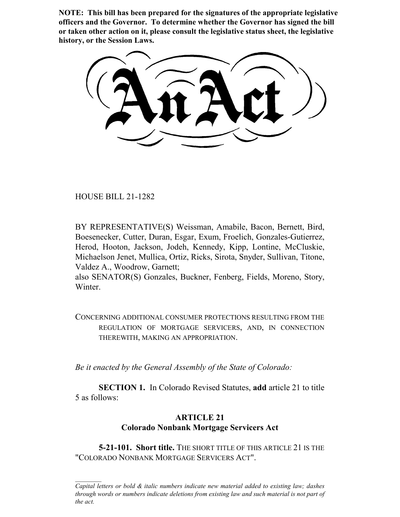**NOTE: This bill has been prepared for the signatures of the appropriate legislative officers and the Governor. To determine whether the Governor has signed the bill or taken other action on it, please consult the legislative status sheet, the legislative history, or the Session Laws.**

HOUSE BILL 21-1282

BY REPRESENTATIVE(S) Weissman, Amabile, Bacon, Bernett, Bird, Boesenecker, Cutter, Duran, Esgar, Exum, Froelich, Gonzales-Gutierrez, Herod, Hooton, Jackson, Jodeh, Kennedy, Kipp, Lontine, McCluskie, Michaelson Jenet, Mullica, Ortiz, Ricks, Sirota, Snyder, Sullivan, Titone, Valdez A., Woodrow, Garnett;

also SENATOR(S) Gonzales, Buckner, Fenberg, Fields, Moreno, Story, Winter.

CONCERNING ADDITIONAL CONSUMER PROTECTIONS RESULTING FROM THE REGULATION OF MORTGAGE SERVICERS, AND, IN CONNECTION THEREWITH, MAKING AN APPROPRIATION.

*Be it enacted by the General Assembly of the State of Colorado:*

**SECTION 1.** In Colorado Revised Statutes, **add** article 21 to title 5 as follows:

# **ARTICLE 21 Colorado Nonbank Mortgage Servicers Act**

**5-21-101. Short title.** THE SHORT TITLE OF THIS ARTICLE 21 IS THE "COLORADO NONBANK MORTGAGE SERVICERS ACT".

*Capital letters or bold & italic numbers indicate new material added to existing law; dashes through words or numbers indicate deletions from existing law and such material is not part of the act.*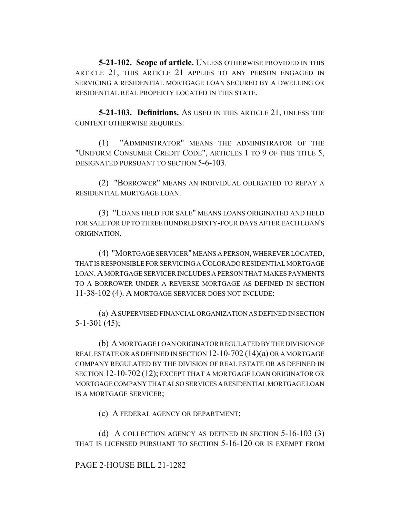**5-21-102. Scope of article.** UNLESS OTHERWISE PROVIDED IN THIS ARTICLE 21, THIS ARTICLE 21 APPLIES TO ANY PERSON ENGAGED IN SERVICING A RESIDENTIAL MORTGAGE LOAN SECURED BY A DWELLING OR RESIDENTIAL REAL PROPERTY LOCATED IN THIS STATE.

**5-21-103. Definitions.** AS USED IN THIS ARTICLE 21, UNLESS THE CONTEXT OTHERWISE REQUIRES:

(1) "ADMINISTRATOR" MEANS THE ADMINISTRATOR OF THE "UNIFORM CONSUMER CREDIT CODE", ARTICLES 1 TO 9 OF THIS TITLE 5, DESIGNATED PURSUANT TO SECTION 5-6-103.

(2) "BORROWER" MEANS AN INDIVIDUAL OBLIGATED TO REPAY A RESIDENTIAL MORTGAGE LOAN.

(3) "LOANS HELD FOR SALE" MEANS LOANS ORIGINATED AND HELD FOR SALE FOR UP TO THREE HUNDRED SIXTY-FOUR DAYS AFTER EACH LOAN'S ORIGINATION.

(4) "MORTGAGE SERVICER" MEANS A PERSON, WHEREVER LOCATED, THAT IS RESPONSIBLE FOR SERVICING A COLORADO RESIDENTIAL MORTGAGE LOAN.A MORTGAGE SERVICER INCLUDES A PERSON THAT MAKES PAYMENTS TO A BORROWER UNDER A REVERSE MORTGAGE AS DEFINED IN SECTION 11-38-102 (4). A MORTGAGE SERVICER DOES NOT INCLUDE:

(a) A SUPERVISED FINANCIAL ORGANIZATION AS DEFINED IN SECTION 5-1-301 (45);

(b) A MORTGAGE LOAN ORIGINATOR REGULATED BY THE DIVISION OF REAL ESTATE OR AS DEFINED IN SECTION 12-10-702 (14)(a) OR A MORTGAGE COMPANY REGULATED BY THE DIVISION OF REAL ESTATE OR AS DEFINED IN SECTION 12-10-702 (12); EXCEPT THAT A MORTGAGE LOAN ORIGINATOR OR MORTGAGE COMPANY THAT ALSO SERVICES A RESIDENTIAL MORTGAGE LOAN IS A MORTGAGE SERVICER;

(c) A FEDERAL AGENCY OR DEPARTMENT;

(d) A COLLECTION AGENCY AS DEFINED IN SECTION 5-16-103 (3) THAT IS LICENSED PURSUANT TO SECTION 5-16-120 OR IS EXEMPT FROM

PAGE 2-HOUSE BILL 21-1282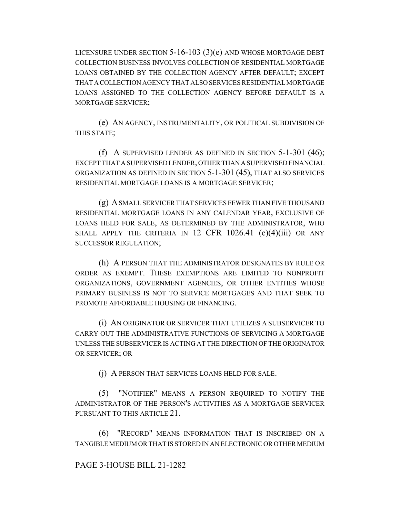LICENSURE UNDER SECTION 5-16-103 (3)(e) AND WHOSE MORTGAGE DEBT COLLECTION BUSINESS INVOLVES COLLECTION OF RESIDENTIAL MORTGAGE LOANS OBTAINED BY THE COLLECTION AGENCY AFTER DEFAULT; EXCEPT THAT A COLLECTION AGENCY THAT ALSO SERVICES RESIDENTIAL MORTGAGE LOANS ASSIGNED TO THE COLLECTION AGENCY BEFORE DEFAULT IS A MORTGAGE SERVICER;

(e) AN AGENCY, INSTRUMENTALITY, OR POLITICAL SUBDIVISION OF THIS STATE;

(f) A SUPERVISED LENDER AS DEFINED IN SECTION 5-1-301 (46); EXCEPT THAT A SUPERVISED LENDER, OTHER THAN A SUPERVISED FINANCIAL ORGANIZATION AS DEFINED IN SECTION 5-1-301 (45), THAT ALSO SERVICES RESIDENTIAL MORTGAGE LOANS IS A MORTGAGE SERVICER;

(g) A SMALL SERVICER THAT SERVICES FEWER THAN FIVE THOUSAND RESIDENTIAL MORTGAGE LOANS IN ANY CALENDAR YEAR, EXCLUSIVE OF LOANS HELD FOR SALE, AS DETERMINED BY THE ADMINISTRATOR, WHO SHALL APPLY THE CRITERIA IN 12 CFR  $1026.41$  (e)(4)(iii) OR ANY SUCCESSOR REGULATION;

(h) A PERSON THAT THE ADMINISTRATOR DESIGNATES BY RULE OR ORDER AS EXEMPT. THESE EXEMPTIONS ARE LIMITED TO NONPROFIT ORGANIZATIONS, GOVERNMENT AGENCIES, OR OTHER ENTITIES WHOSE PRIMARY BUSINESS IS NOT TO SERVICE MORTGAGES AND THAT SEEK TO PROMOTE AFFORDABLE HOUSING OR FINANCING.

(i) AN ORIGINATOR OR SERVICER THAT UTILIZES A SUBSERVICER TO CARRY OUT THE ADMINISTRATIVE FUNCTIONS OF SERVICING A MORTGAGE UNLESS THE SUBSERVICER IS ACTING AT THE DIRECTION OF THE ORIGINATOR OR SERVICER; OR

(j) A PERSON THAT SERVICES LOANS HELD FOR SALE.

(5) "NOTIFIER" MEANS A PERSON REQUIRED TO NOTIFY THE ADMINISTRATOR OF THE PERSON'S ACTIVITIES AS A MORTGAGE SERVICER PURSUANT TO THIS ARTICLE 21.

(6) "RECORD" MEANS INFORMATION THAT IS INSCRIBED ON A TANGIBLE MEDIUM OR THAT IS STORED IN AN ELECTRONIC OR OTHER MEDIUM

#### PAGE 3-HOUSE BILL 21-1282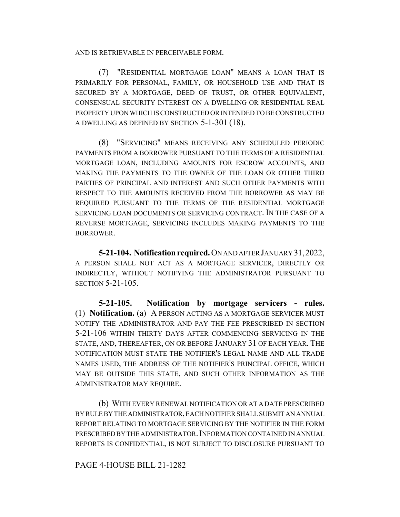AND IS RETRIEVABLE IN PERCEIVABLE FORM.

(7) "RESIDENTIAL MORTGAGE LOAN" MEANS A LOAN THAT IS PRIMARILY FOR PERSONAL, FAMILY, OR HOUSEHOLD USE AND THAT IS SECURED BY A MORTGAGE, DEED OF TRUST, OR OTHER EQUIVALENT, CONSENSUAL SECURITY INTEREST ON A DWELLING OR RESIDENTIAL REAL PROPERTY UPON WHICH IS CONSTRUCTED OR INTENDED TO BE CONSTRUCTED A DWELLING AS DEFINED BY SECTION 5-1-301 (18).

(8) "SERVICING" MEANS RECEIVING ANY SCHEDULED PERIODIC PAYMENTS FROM A BORROWER PURSUANT TO THE TERMS OF A RESIDENTIAL MORTGAGE LOAN, INCLUDING AMOUNTS FOR ESCROW ACCOUNTS, AND MAKING THE PAYMENTS TO THE OWNER OF THE LOAN OR OTHER THIRD PARTIES OF PRINCIPAL AND INTEREST AND SUCH OTHER PAYMENTS WITH RESPECT TO THE AMOUNTS RECEIVED FROM THE BORROWER AS MAY BE REQUIRED PURSUANT TO THE TERMS OF THE RESIDENTIAL MORTGAGE SERVICING LOAN DOCUMENTS OR SERVICING CONTRACT. IN THE CASE OF A REVERSE MORTGAGE, SERVICING INCLUDES MAKING PAYMENTS TO THE BORROWER.

**5-21-104. Notification required.** ON AND AFTER JANUARY 31,2022, A PERSON SHALL NOT ACT AS A MORTGAGE SERVICER, DIRECTLY OR INDIRECTLY, WITHOUT NOTIFYING THE ADMINISTRATOR PURSUANT TO SECTION 5-21-105.

**5-21-105. Notification by mortgage servicers - rules.** (1) **Notification.** (a) A PERSON ACTING AS A MORTGAGE SERVICER MUST NOTIFY THE ADMINISTRATOR AND PAY THE FEE PRESCRIBED IN SECTION 5-21-106 WITHIN THIRTY DAYS AFTER COMMENCING SERVICING IN THE STATE, AND, THEREAFTER, ON OR BEFORE JANUARY 31 OF EACH YEAR. THE NOTIFICATION MUST STATE THE NOTIFIER'S LEGAL NAME AND ALL TRADE NAMES USED, THE ADDRESS OF THE NOTIFIER'S PRINCIPAL OFFICE, WHICH MAY BE OUTSIDE THIS STATE, AND SUCH OTHER INFORMATION AS THE ADMINISTRATOR MAY REQUIRE.

(b) WITH EVERY RENEWAL NOTIFICATION OR AT A DATE PRESCRIBED BY RULE BY THE ADMINISTRATOR, EACH NOTIFIER SHALL SUBMIT AN ANNUAL REPORT RELATING TO MORTGAGE SERVICING BY THE NOTIFIER IN THE FORM PRESCRIBED BY THE ADMINISTRATOR.INFORMATION CONTAINED IN ANNUAL REPORTS IS CONFIDENTIAL, IS NOT SUBJECT TO DISCLOSURE PURSUANT TO

# PAGE 4-HOUSE BILL 21-1282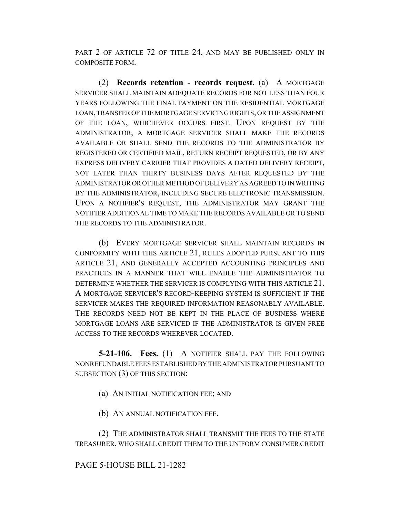PART 2 OF ARTICLE 72 OF TITLE 24, AND MAY BE PUBLISHED ONLY IN COMPOSITE FORM.

(2) **Records retention - records request.** (a) A MORTGAGE SERVICER SHALL MAINTAIN ADEQUATE RECORDS FOR NOT LESS THAN FOUR YEARS FOLLOWING THE FINAL PAYMENT ON THE RESIDENTIAL MORTGAGE LOAN, TRANSFER OF THE MORTGAGE SERVICING RIGHTS, OR THE ASSIGNMENT OF THE LOAN, WHICHEVER OCCURS FIRST. UPON REQUEST BY THE ADMINISTRATOR, A MORTGAGE SERVICER SHALL MAKE THE RECORDS AVAILABLE OR SHALL SEND THE RECORDS TO THE ADMINISTRATOR BY REGISTERED OR CERTIFIED MAIL, RETURN RECEIPT REQUESTED, OR BY ANY EXPRESS DELIVERY CARRIER THAT PROVIDES A DATED DELIVERY RECEIPT, NOT LATER THAN THIRTY BUSINESS DAYS AFTER REQUESTED BY THE ADMINISTRATOR OR OTHER METHOD OF DELIVERY AS AGREED TO IN WRITING BY THE ADMINISTRATOR, INCLUDING SECURE ELECTRONIC TRANSMISSION. UPON A NOTIFIER'S REQUEST, THE ADMINISTRATOR MAY GRANT THE NOTIFIER ADDITIONAL TIME TO MAKE THE RECORDS AVAILABLE OR TO SEND THE RECORDS TO THE ADMINISTRATOR.

(b) EVERY MORTGAGE SERVICER SHALL MAINTAIN RECORDS IN CONFORMITY WITH THIS ARTICLE 21, RULES ADOPTED PURSUANT TO THIS ARTICLE 21, AND GENERALLY ACCEPTED ACCOUNTING PRINCIPLES AND PRACTICES IN A MANNER THAT WILL ENABLE THE ADMINISTRATOR TO DETERMINE WHETHER THE SERVICER IS COMPLYING WITH THIS ARTICLE 21. A MORTGAGE SERVICER'S RECORD-KEEPING SYSTEM IS SUFFICIENT IF THE SERVICER MAKES THE REQUIRED INFORMATION REASONABLY AVAILABLE. THE RECORDS NEED NOT BE KEPT IN THE PLACE OF BUSINESS WHERE MORTGAGE LOANS ARE SERVICED IF THE ADMINISTRATOR IS GIVEN FREE ACCESS TO THE RECORDS WHEREVER LOCATED.

**5-21-106. Fees.** (1) A NOTIFIER SHALL PAY THE FOLLOWING NONREFUNDABLE FEES ESTABLISHED BY THE ADMINISTRATOR PURSUANT TO SUBSECTION (3) OF THIS SECTION:

(a) AN INITIAL NOTIFICATION FEE; AND

(b) AN ANNUAL NOTIFICATION FEE.

(2) THE ADMINISTRATOR SHALL TRANSMIT THE FEES TO THE STATE TREASURER, WHO SHALL CREDIT THEM TO THE UNIFORM CONSUMER CREDIT

# PAGE 5-HOUSE BILL 21-1282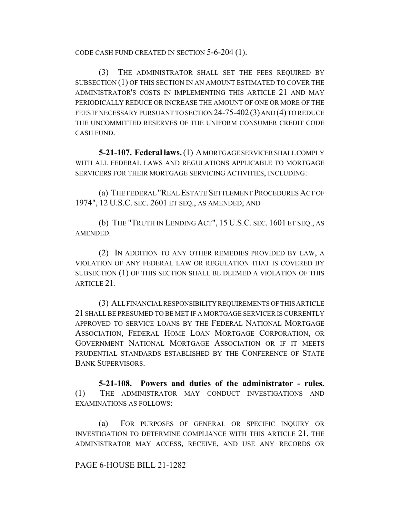CODE CASH FUND CREATED IN SECTION 5-6-204 (1).

(3) THE ADMINISTRATOR SHALL SET THE FEES REQUIRED BY SUBSECTION (1) OF THIS SECTION IN AN AMOUNT ESTIMATED TO COVER THE ADMINISTRATOR'S COSTS IN IMPLEMENTING THIS ARTICLE 21 AND MAY PERIODICALLY REDUCE OR INCREASE THE AMOUNT OF ONE OR MORE OF THE FEES IF NECESSARY PURSUANT TO SECTION 24-75-402 (3) AND (4) TO REDUCE THE UNCOMMITTED RESERVES OF THE UNIFORM CONSUMER CREDIT CODE CASH FUND.

**5-21-107. Federal laws.** (1) A MORTGAGE SERVICER SHALL COMPLY WITH ALL FEDERAL LAWS AND REGULATIONS APPLICABLE TO MORTGAGE SERVICERS FOR THEIR MORTGAGE SERVICING ACTIVITIES, INCLUDING:

(a) THE FEDERAL "REAL ESTATE SETTLEMENT PROCEDURES ACT OF 1974", 12 U.S.C. SEC. 2601 ET SEQ., AS AMENDED; AND

(b) THE "TRUTH IN LENDING ACT", 15 U.S.C. SEC. 1601 ET SEQ., AS AMENDED.

(2) IN ADDITION TO ANY OTHER REMEDIES PROVIDED BY LAW, A VIOLATION OF ANY FEDERAL LAW OR REGULATION THAT IS COVERED BY SUBSECTION (1) OF THIS SECTION SHALL BE DEEMED A VIOLATION OF THIS ARTICLE 21.

(3) ALL FINANCIAL RESPONSIBILITY REQUIREMENTS OF THIS ARTICLE 21 SHALL BE PRESUMED TO BE MET IF A MORTGAGE SERVICER IS CURRENTLY APPROVED TO SERVICE LOANS BY THE FEDERAL NATIONAL MORTGAGE ASSOCIATION, FEDERAL HOME LOAN MORTGAGE CORPORATION, OR GOVERNMENT NATIONAL MORTGAGE ASSOCIATION OR IF IT MEETS PRUDENTIAL STANDARDS ESTABLISHED BY THE CONFERENCE OF STATE BANK SUPERVISORS.

**5-21-108. Powers and duties of the administrator - rules.** (1) THE ADMINISTRATOR MAY CONDUCT INVESTIGATIONS AND EXAMINATIONS AS FOLLOWS:

(a) FOR PURPOSES OF GENERAL OR SPECIFIC INQUIRY OR INVESTIGATION TO DETERMINE COMPLIANCE WITH THIS ARTICLE 21, THE ADMINISTRATOR MAY ACCESS, RECEIVE, AND USE ANY RECORDS OR

# PAGE 6-HOUSE BILL 21-1282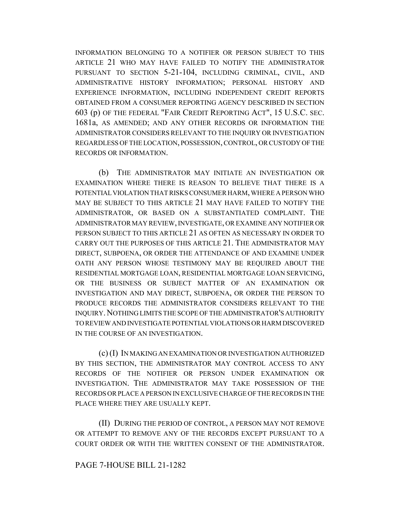INFORMATION BELONGING TO A NOTIFIER OR PERSON SUBJECT TO THIS ARTICLE 21 WHO MAY HAVE FAILED TO NOTIFY THE ADMINISTRATOR PURSUANT TO SECTION 5-21-104, INCLUDING CRIMINAL, CIVIL, AND ADMINISTRATIVE HISTORY INFORMATION; PERSONAL HISTORY AND EXPERIENCE INFORMATION, INCLUDING INDEPENDENT CREDIT REPORTS OBTAINED FROM A CONSUMER REPORTING AGENCY DESCRIBED IN SECTION 603 (p) OF THE FEDERAL "FAIR CREDIT REPORTING ACT", 15 U.S.C. SEC. 1681a, AS AMENDED; AND ANY OTHER RECORDS OR INFORMATION THE ADMINISTRATOR CONSIDERS RELEVANT TO THE INQUIRY OR INVESTIGATION REGARDLESS OF THE LOCATION, POSSESSION, CONTROL, OR CUSTODY OF THE RECORDS OR INFORMATION.

(b) THE ADMINISTRATOR MAY INITIATE AN INVESTIGATION OR EXAMINATION WHERE THERE IS REASON TO BELIEVE THAT THERE IS A POTENTIAL VIOLATION THAT RISKS CONSUMER HARM, WHERE A PERSON WHO MAY BE SUBJECT TO THIS ARTICLE 21 MAY HAVE FAILED TO NOTIFY THE ADMINISTRATOR, OR BASED ON A SUBSTANTIATED COMPLAINT. THE ADMINISTRATOR MAY REVIEW, INVESTIGATE, OR EXAMINE ANY NOTIFIER OR PERSON SUBJECT TO THIS ARTICLE 21 AS OFTEN AS NECESSARY IN ORDER TO CARRY OUT THE PURPOSES OF THIS ARTICLE 21. THE ADMINISTRATOR MAY DIRECT, SUBPOENA, OR ORDER THE ATTENDANCE OF AND EXAMINE UNDER OATH ANY PERSON WHOSE TESTIMONY MAY BE REQUIRED ABOUT THE RESIDENTIAL MORTGAGE LOAN, RESIDENTIAL MORTGAGE LOAN SERVICING, OR THE BUSINESS OR SUBJECT MATTER OF AN EXAMINATION OR INVESTIGATION AND MAY DIRECT, SUBPOENA, OR ORDER THE PERSON TO PRODUCE RECORDS THE ADMINISTRATOR CONSIDERS RELEVANT TO THE INQUIRY.NOTHING LIMITS THE SCOPE OF THE ADMINISTRATOR'S AUTHORITY TO REVIEW AND INVESTIGATE POTENTIAL VIOLATIONS OR HARM DISCOVERED IN THE COURSE OF AN INVESTIGATION.

(c) (I) IN MAKING AN EXAMINATION OR INVESTIGATION AUTHORIZED BY THIS SECTION, THE ADMINISTRATOR MAY CONTROL ACCESS TO ANY RECORDS OF THE NOTIFIER OR PERSON UNDER EXAMINATION OR INVESTIGATION. THE ADMINISTRATOR MAY TAKE POSSESSION OF THE RECORDS OR PLACE A PERSON IN EXCLUSIVE CHARGE OF THE RECORDS IN THE PLACE WHERE THEY ARE USUALLY KEPT.

(II) DURING THE PERIOD OF CONTROL, A PERSON MAY NOT REMOVE OR ATTEMPT TO REMOVE ANY OF THE RECORDS EXCEPT PURSUANT TO A COURT ORDER OR WITH THE WRITTEN CONSENT OF THE ADMINISTRATOR.

#### PAGE 7-HOUSE BILL 21-1282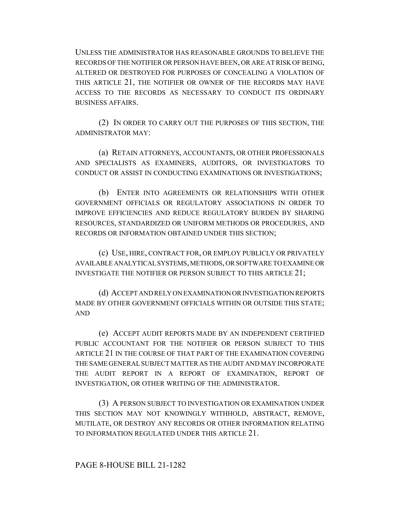UNLESS THE ADMINISTRATOR HAS REASONABLE GROUNDS TO BELIEVE THE RECORDS OF THE NOTIFIER OR PERSON HAVE BEEN, OR ARE AT RISK OF BEING, ALTERED OR DESTROYED FOR PURPOSES OF CONCEALING A VIOLATION OF THIS ARTICLE 21, THE NOTIFIER OR OWNER OF THE RECORDS MAY HAVE ACCESS TO THE RECORDS AS NECESSARY TO CONDUCT ITS ORDINARY BUSINESS AFFAIRS.

(2) IN ORDER TO CARRY OUT THE PURPOSES OF THIS SECTION, THE ADMINISTRATOR MAY:

(a) RETAIN ATTORNEYS, ACCOUNTANTS, OR OTHER PROFESSIONALS AND SPECIALISTS AS EXAMINERS, AUDITORS, OR INVESTIGATORS TO CONDUCT OR ASSIST IN CONDUCTING EXAMINATIONS OR INVESTIGATIONS;

(b) ENTER INTO AGREEMENTS OR RELATIONSHIPS WITH OTHER GOVERNMENT OFFICIALS OR REGULATORY ASSOCIATIONS IN ORDER TO IMPROVE EFFICIENCIES AND REDUCE REGULATORY BURDEN BY SHARING RESOURCES, STANDARDIZED OR UNIFORM METHODS OR PROCEDURES, AND RECORDS OR INFORMATION OBTAINED UNDER THIS SECTION;

(c) USE, HIRE, CONTRACT FOR, OR EMPLOY PUBLICLY OR PRIVATELY AVAILABLE ANALYTICAL SYSTEMS, METHODS, OR SOFTWARE TO EXAMINE OR INVESTIGATE THE NOTIFIER OR PERSON SUBJECT TO THIS ARTICLE 21;

(d) ACCEPT AND RELY ON EXAMINATION OR INVESTIGATION REPORTS MADE BY OTHER GOVERNMENT OFFICIALS WITHIN OR OUTSIDE THIS STATE; AND

(e) ACCEPT AUDIT REPORTS MADE BY AN INDEPENDENT CERTIFIED PUBLIC ACCOUNTANT FOR THE NOTIFIER OR PERSON SUBJECT TO THIS ARTICLE 21 IN THE COURSE OF THAT PART OF THE EXAMINATION COVERING THE SAME GENERAL SUBJECT MATTER AS THE AUDIT AND MAY INCORPORATE THE AUDIT REPORT IN A REPORT OF EXAMINATION, REPORT OF INVESTIGATION, OR OTHER WRITING OF THE ADMINISTRATOR.

(3) A PERSON SUBJECT TO INVESTIGATION OR EXAMINATION UNDER THIS SECTION MAY NOT KNOWINGLY WITHHOLD, ABSTRACT, REMOVE, MUTILATE, OR DESTROY ANY RECORDS OR OTHER INFORMATION RELATING TO INFORMATION REGULATED UNDER THIS ARTICLE 21.

#### PAGE 8-HOUSE BILL 21-1282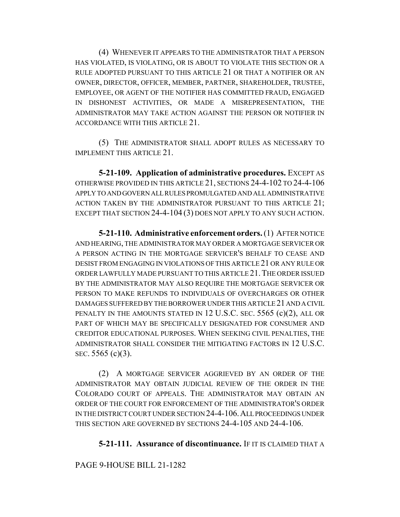(4) WHENEVER IT APPEARS TO THE ADMINISTRATOR THAT A PERSON HAS VIOLATED, IS VIOLATING, OR IS ABOUT TO VIOLATE THIS SECTION OR A RULE ADOPTED PURSUANT TO THIS ARTICLE 21 OR THAT A NOTIFIER OR AN OWNER, DIRECTOR, OFFICER, MEMBER, PARTNER, SHAREHOLDER, TRUSTEE, EMPLOYEE, OR AGENT OF THE NOTIFIER HAS COMMITTED FRAUD, ENGAGED IN DISHONEST ACTIVITIES, OR MADE A MISREPRESENTATION, THE ADMINISTRATOR MAY TAKE ACTION AGAINST THE PERSON OR NOTIFIER IN ACCORDANCE WITH THIS ARTICLE 21.

(5) THE ADMINISTRATOR SHALL ADOPT RULES AS NECESSARY TO IMPLEMENT THIS ARTICLE 21.

**5-21-109. Application of administrative procedures.** EXCEPT AS OTHERWISE PROVIDED IN THIS ARTICLE 21, SECTIONS 24-4-102 TO 24-4-106 APPLY TO AND GOVERN ALL RULES PROMULGATED AND ALL ADMINISTRATIVE ACTION TAKEN BY THE ADMINISTRATOR PURSUANT TO THIS ARTICLE 21; EXCEPT THAT SECTION 24-4-104 (3) DOES NOT APPLY TO ANY SUCH ACTION.

**5-21-110. Administrative enforcement orders.** (1) AFTER NOTICE AND HEARING, THE ADMINISTRATOR MAY ORDER A MORTGAGE SERVICER OR A PERSON ACTING IN THE MORTGAGE SERVICER'S BEHALF TO CEASE AND DESIST FROM ENGAGING IN VIOLATIONS OF THIS ARTICLE 21 OR ANY RULE OR ORDER LAWFULLY MADE PURSUANT TO THIS ARTICLE 21.THE ORDER ISSUED BY THE ADMINISTRATOR MAY ALSO REQUIRE THE MORTGAGE SERVICER OR PERSON TO MAKE REFUNDS TO INDIVIDUALS OF OVERCHARGES OR OTHER DAMAGES SUFFERED BY THE BORROWER UNDER THIS ARTICLE 21 AND A CIVIL PENALTY IN THE AMOUNTS STATED IN 12 U.S.C. SEC. 5565 (c)(2), ALL OR PART OF WHICH MAY BE SPECIFICALLY DESIGNATED FOR CONSUMER AND CREDITOR EDUCATIONAL PURPOSES. WHEN SEEKING CIVIL PENALTIES, THE ADMINISTRATOR SHALL CONSIDER THE MITIGATING FACTORS IN 12 U.S.C. SEC. 5565 (c)(3).

(2) A MORTGAGE SERVICER AGGRIEVED BY AN ORDER OF THE ADMINISTRATOR MAY OBTAIN JUDICIAL REVIEW OF THE ORDER IN THE COLORADO COURT OF APPEALS. THE ADMINISTRATOR MAY OBTAIN AN ORDER OF THE COURT FOR ENFORCEMENT OF THE ADMINISTRATOR'S ORDER IN THE DISTRICT COURT UNDER SECTION 24-4-106.ALL PROCEEDINGS UNDER THIS SECTION ARE GOVERNED BY SECTIONS 24-4-105 AND 24-4-106.

# **5-21-111. Assurance of discontinuance.** IF IT IS CLAIMED THAT A

# PAGE 9-HOUSE BILL 21-1282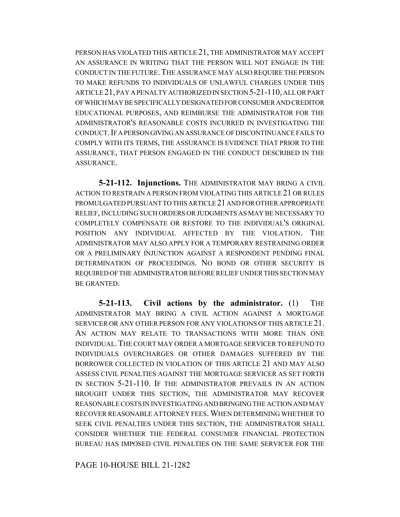PERSON HAS VIOLATED THIS ARTICLE 21, THE ADMINISTRATOR MAY ACCEPT AN ASSURANCE IN WRITING THAT THE PERSON WILL NOT ENGAGE IN THE CONDUCT IN THE FUTURE.THE ASSURANCE MAY ALSO REQUIRE THE PERSON TO MAKE REFUNDS TO INDIVIDUALS OF UNLAWFUL CHARGES UNDER THIS ARTICLE 21, PAY A PENALTY AUTHORIZED IN SECTION 5-21-110, ALL OR PART OF WHICH MAY BE SPECIFICALLY DESIGNATED FOR CONSUMER AND CREDITOR EDUCATIONAL PURPOSES, AND REIMBURSE THE ADMINISTRATOR FOR THE ADMINISTRATOR'S REASONABLE COSTS INCURRED IN INVESTIGATING THE CONDUCT.IF A PERSON GIVING AN ASSURANCE OF DISCONTINUANCE FAILS TO COMPLY WITH ITS TERMS, THE ASSURANCE IS EVIDENCE THAT PRIOR TO THE ASSURANCE, THAT PERSON ENGAGED IN THE CONDUCT DESCRIBED IN THE ASSURANCE.

**5-21-112. Injunctions.** THE ADMINISTRATOR MAY BRING A CIVIL ACTION TO RESTRAIN A PERSON FROM VIOLATING THIS ARTICLE 21 OR RULES PROMULGATED PURSUANT TO THIS ARTICLE 21 AND FOR OTHER APPROPRIATE RELIEF, INCLUDING SUCH ORDERS OR JUDGMENTS AS MAY BE NECESSARY TO COMPLETELY COMPENSATE OR RESTORE TO THE INDIVIDUAL'S ORIGINAL POSITION ANY INDIVIDUAL AFFECTED BY THE VIOLATION. THE ADMINISTRATOR MAY ALSO APPLY FOR A TEMPORARY RESTRAINING ORDER OR A PRELIMINARY INJUNCTION AGAINST A RESPONDENT PENDING FINAL DETERMINATION OF PROCEEDINGS. NO BOND OR OTHER SECURITY IS REQUIRED OF THE ADMINISTRATOR BEFORE RELIEF UNDER THIS SECTION MAY BE GRANTED.

**5-21-113. Civil actions by the administrator.** (1) THE ADMINISTRATOR MAY BRING A CIVIL ACTION AGAINST A MORTGAGE SERVICER OR ANY OTHER PERSON FOR ANY VIOLATIONS OF THIS ARTICLE 21. AN ACTION MAY RELATE TO TRANSACTIONS WITH MORE THAN ONE INDIVIDUAL.THE COURT MAY ORDER A MORTGAGE SERVICER TO REFUND TO INDIVIDUALS OVERCHARGES OR OTHER DAMAGES SUFFERED BY THE BORROWER COLLECTED IN VIOLATION OF THIS ARTICLE 21 AND MAY ALSO ASSESS CIVIL PENALTIES AGAINST THE MORTGAGE SERVICER AS SET FORTH IN SECTION 5-21-110. IF THE ADMINISTRATOR PREVAILS IN AN ACTION BROUGHT UNDER THIS SECTION, THE ADMINISTRATOR MAY RECOVER REASONABLE COSTS IN INVESTIGATING AND BRINGING THE ACTION AND MAY RECOVER REASONABLE ATTORNEY FEES.WHEN DETERMINING WHETHER TO SEEK CIVIL PENALTIES UNDER THIS SECTION, THE ADMINISTRATOR SHALL CONSIDER WHETHER THE FEDERAL CONSUMER FINANCIAL PROTECTION BUREAU HAS IMPOSED CIVIL PENALTIES ON THE SAME SERVICER FOR THE

PAGE 10-HOUSE BILL 21-1282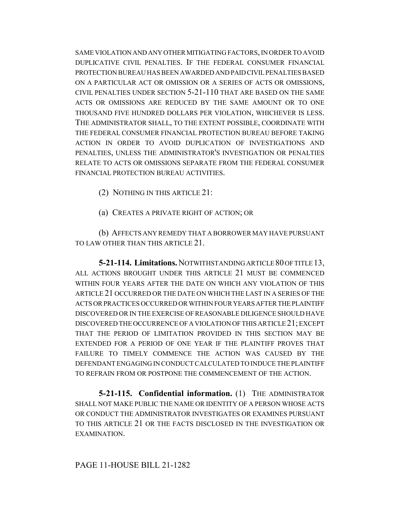SAME VIOLATION AND ANY OTHER MITIGATING FACTORS, IN ORDER TO AVOID DUPLICATIVE CIVIL PENALTIES. IF THE FEDERAL CONSUMER FINANCIAL PROTECTION BUREAU HAS BEEN AWARDED AND PAID CIVIL PENALTIES BASED ON A PARTICULAR ACT OR OMISSION OR A SERIES OF ACTS OR OMISSIONS, CIVIL PENALTIES UNDER SECTION 5-21-110 THAT ARE BASED ON THE SAME ACTS OR OMISSIONS ARE REDUCED BY THE SAME AMOUNT OR TO ONE THOUSAND FIVE HUNDRED DOLLARS PER VIOLATION, WHICHEVER IS LESS. THE ADMINISTRATOR SHALL, TO THE EXTENT POSSIBLE, COORDINATE WITH THE FEDERAL CONSUMER FINANCIAL PROTECTION BUREAU BEFORE TAKING ACTION IN ORDER TO AVOID DUPLICATION OF INVESTIGATIONS AND PENALTIES, UNLESS THE ADMINISTRATOR'S INVESTIGATION OR PENALTIES RELATE TO ACTS OR OMISSIONS SEPARATE FROM THE FEDERAL CONSUMER FINANCIAL PROTECTION BUREAU ACTIVITIES.

- (2) NOTHING IN THIS ARTICLE 21:
- (a) CREATES A PRIVATE RIGHT OF ACTION; OR

(b) AFFECTS ANY REMEDY THAT A BORROWER MAY HAVE PURSUANT TO LAW OTHER THAN THIS ARTICLE 21.

**5-21-114. Limitations.** NOTWITHSTANDING ARTICLE 80 OF TITLE 13, ALL ACTIONS BROUGHT UNDER THIS ARTICLE 21 MUST BE COMMENCED WITHIN FOUR YEARS AFTER THE DATE ON WHICH ANY VIOLATION OF THIS ARTICLE 21 OCCURRED OR THE DATE ON WHICH THE LAST IN A SERIES OF THE ACTS OR PRACTICES OCCURRED OR WITHIN FOUR YEARS AFTER THE PLAINTIFF DISCOVERED OR IN THE EXERCISE OF REASONABLE DILIGENCE SHOULD HAVE DISCOVERED THE OCCURRENCE OF A VIOLATION OF THIS ARTICLE 21; EXCEPT THAT THE PERIOD OF LIMITATION PROVIDED IN THIS SECTION MAY BE EXTENDED FOR A PERIOD OF ONE YEAR IF THE PLAINTIFF PROVES THAT FAILURE TO TIMELY COMMENCE THE ACTION WAS CAUSED BY THE DEFENDANT ENGAGING IN CONDUCT CALCULATED TO INDUCE THE PLAINTIFF TO REFRAIN FROM OR POSTPONE THE COMMENCEMENT OF THE ACTION.

**5-21-115. Confidential information.** (1) THE ADMINISTRATOR SHALL NOT MAKE PUBLIC THE NAME OR IDENTITY OF A PERSON WHOSE ACTS OR CONDUCT THE ADMINISTRATOR INVESTIGATES OR EXAMINES PURSUANT TO THIS ARTICLE 21 OR THE FACTS DISCLOSED IN THE INVESTIGATION OR EXAMINATION.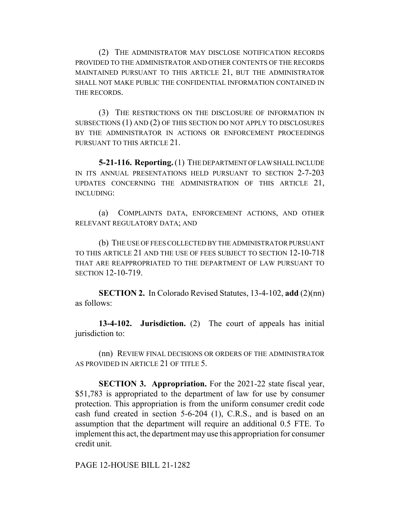(2) THE ADMINISTRATOR MAY DISCLOSE NOTIFICATION RECORDS PROVIDED TO THE ADMINISTRATOR AND OTHER CONTENTS OF THE RECORDS MAINTAINED PURSUANT TO THIS ARTICLE 21, BUT THE ADMINISTRATOR SHALL NOT MAKE PUBLIC THE CONFIDENTIAL INFORMATION CONTAINED IN THE RECORDS.

(3) THE RESTRICTIONS ON THE DISCLOSURE OF INFORMATION IN SUBSECTIONS (1) AND (2) OF THIS SECTION DO NOT APPLY TO DISCLOSURES BY THE ADMINISTRATOR IN ACTIONS OR ENFORCEMENT PROCEEDINGS PURSUANT TO THIS ARTICLE 21.

**5-21-116. Reporting.** (1) THE DEPARTMENT OF LAW SHALL INCLUDE IN ITS ANNUAL PRESENTATIONS HELD PURSUANT TO SECTION 2-7-203 UPDATES CONCERNING THE ADMINISTRATION OF THIS ARTICLE 21, INCLUDING:

(a) COMPLAINTS DATA, ENFORCEMENT ACTIONS, AND OTHER RELEVANT REGULATORY DATA; AND

(b) THE USE OF FEES COLLECTED BY THE ADMINISTRATOR PURSUANT TO THIS ARTICLE 21 AND THE USE OF FEES SUBJECT TO SECTION 12-10-718 THAT ARE REAPPROPRIATED TO THE DEPARTMENT OF LAW PURSUANT TO SECTION 12-10-719.

**SECTION 2.** In Colorado Revised Statutes, 13-4-102, **add** (2)(nn) as follows:

**13-4-102. Jurisdiction.** (2) The court of appeals has initial jurisdiction to:

(nn) REVIEW FINAL DECISIONS OR ORDERS OF THE ADMINISTRATOR AS PROVIDED IN ARTICLE 21 OF TITLE 5.

**SECTION 3. Appropriation.** For the 2021-22 state fiscal year, \$51,783 is appropriated to the department of law for use by consumer protection. This appropriation is from the uniform consumer credit code cash fund created in section 5-6-204 (1), C.R.S., and is based on an assumption that the department will require an additional 0.5 FTE. To implement this act, the department may use this appropriation for consumer credit unit.

PAGE 12-HOUSE BILL 21-1282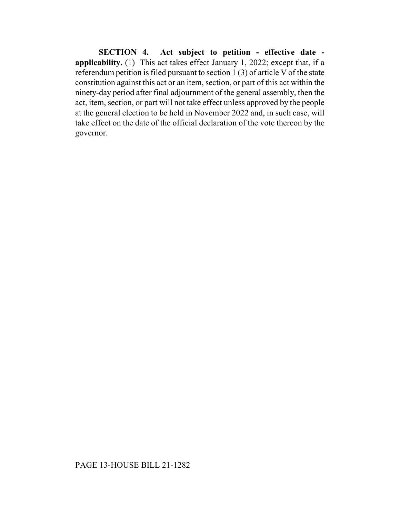**SECTION 4. Act subject to petition - effective date applicability.** (1) This act takes effect January 1, 2022; except that, if a referendum petition is filed pursuant to section 1 (3) of article V of the state constitution against this act or an item, section, or part of this act within the ninety-day period after final adjournment of the general assembly, then the act, item, section, or part will not take effect unless approved by the people at the general election to be held in November 2022 and, in such case, will take effect on the date of the official declaration of the vote thereon by the governor.